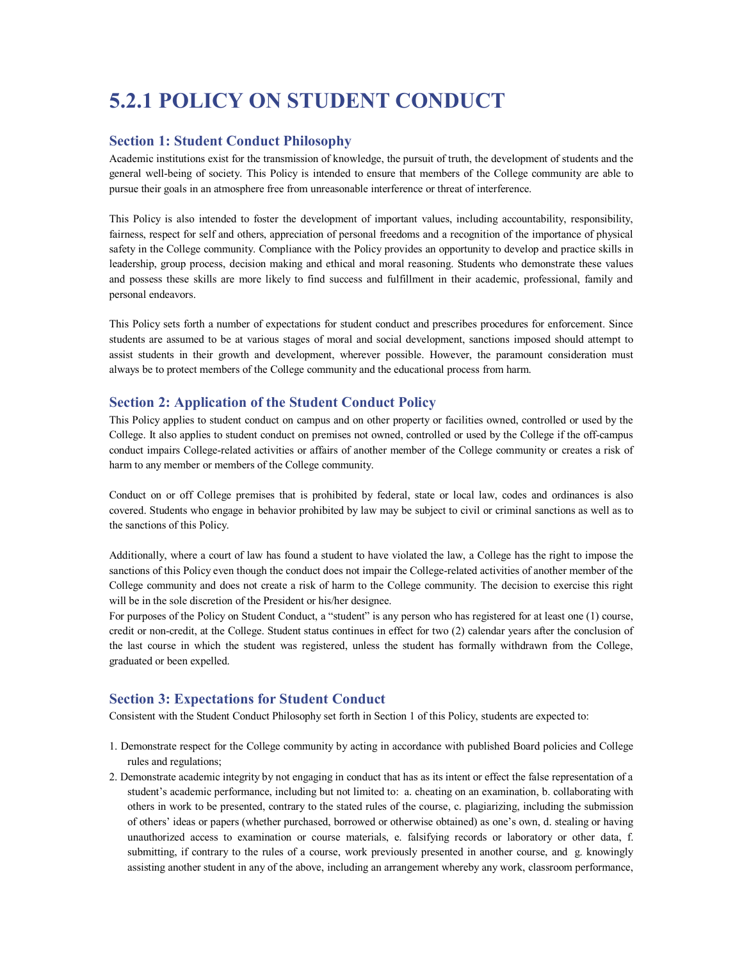# **5.2.1 POLICY ON STUDENT CONDUCT**

### **Section 1: Student Conduct Philosophy**

Academic institutions exist for the transmission of knowledge, the pursuit of truth, the development of students and the general well-being of society. This Policy is intended to ensure that members of the College community are able to pursue their goals in an atmosphere free from unreasonable interference or threat of interference.

This Policy is also intended to foster the development of important values, including accountability, responsibility, fairness, respect for self and others, appreciation of personal freedoms and a recognition of the importance of physical safety in the College community. Compliance with the Policy provides an opportunity to develop and practice skills in leadership, group process, decision making and ethical and moral reasoning. Students who demonstrate these values and possess these skills are more likely to find success and fulfillment in their academic, professional, family and personal endeavors.

This Policy sets forth a number of expectations for student conduct and prescribes procedures for enforcement. Since students are assumed to be at various stages of moral and social development, sanctions imposed should attempt to assist students in their growth and development, wherever possible. However, the paramount consideration must always be to protect members of the College community and the educational process from harm.

# **Section 2: Application of the Student Conduct Policy**

This Policy applies to student conduct on campus and on other property or facilities owned, controlled or used by the College. It also applies to student conduct on premises not owned, controlled or used by the College if the off-campus conduct impairs Collegerelated activities or affairs of another member of the College community or creates a risk of harm to any member or members of the College community.

Conduct on or off College premises that is prohibited by federal, state or local law, codes and ordinances is also covered. Students who engage in behavior prohibited by law may be subject to civil or criminal sanctions as well as to the sanctions of this Policy.

Additionally, where a court of law has found a student to have violated the law, a College has the right to impose the sanctions of this Policy even though the conduct does not impair the College-related activities of another member of the College community and does not create a risk of harm to the College community. The decision to exercise this right will be in the sole discretion of the President or his/her designee.

For purposes of the Policy on Student Conduct, a "student" is any person who has registered for at least one (1) course, credit or non-credit, at the College. Student status continues in effect for two (2) calendar years after the conclusion of the last course in which the student was registered, unless the student has formally withdrawn from the College, graduated or been expelled.

# **Section 3: Expectations for Student Conduct**

Consistent with the Student Conduct Philosophy set forth in Section 1 of this Policy, students are expected to:

- 1. Demonstrate respect for the College community by acting in accordance with published Board policies and College rules and regulations;
- 2. Demonstrate academic integrity by not engaging in conduct that has as its intent or effect the false representation of a student's academic performance, including but not limited to: a. cheating on an examination, b. collaborating with others in work to be presented, contrary to the stated rules of the course, c. plagiarizing, including the submission of others' ideas or papers (whether purchased, borrowed or otherwise obtained) as one's own, d. stealing or having unauthorized access to examination or course materials, e. falsifying records or laboratory or other data, f. submitting, if contrary to the rules of a course, work previously presented in another course, and g. knowingly assisting another student in any of the above, including an arrangement whereby any work, classroom performance,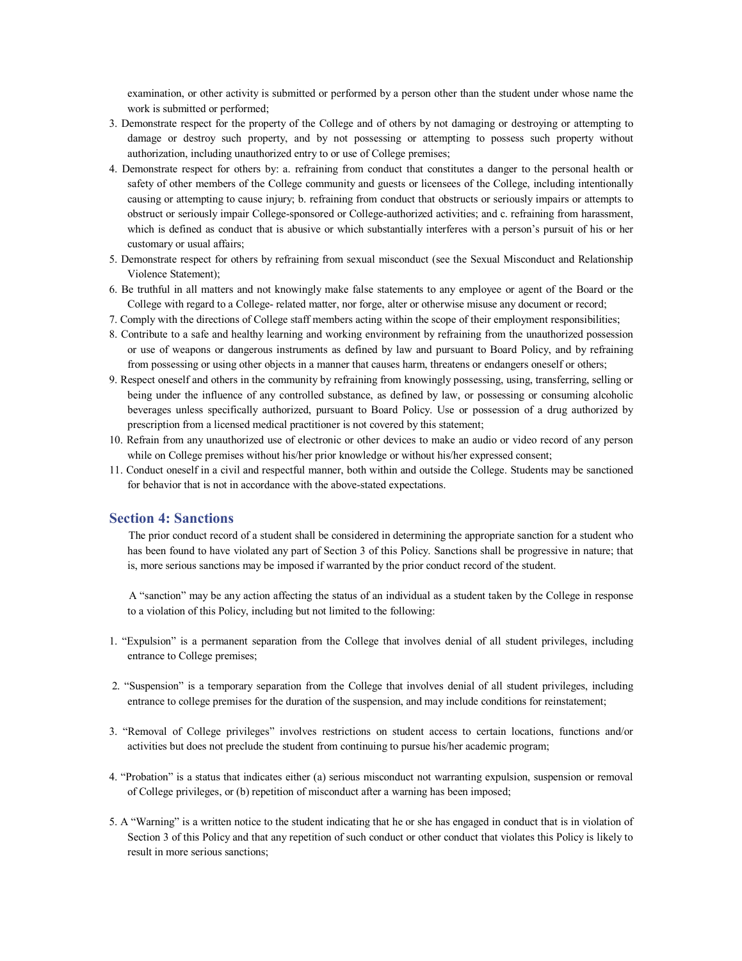examination, or other activity is submitted or performed by a person other than the student under whose name the work is submitted or performed;

- 3. Demonstrate respect for the property of the College and of others by not damaging or destroying or attempting to damage or destroy such property, and by not possessing or attempting to possess such property without authorization, including unauthorized entry to or use of College premises;
- 4. Demonstrate respect for others by: a. refraining from conduct that constitutes a danger to the personal health or safety of other members of the College community and guests or licensees of the College, including intentionally causing or attempting to cause injury; b. refraining from conduct that obstructs or seriously impairs or attempts to obstruct or seriously impair College-sponsored or College-authorized activities; and c. refraining from harassment, which is defined as conduct that is abusive or which substantially interferes with a person's pursuit of his or her customary or usual affairs;
- 5. Demonstrate respect for others by refraining from sexual misconduct (see the Sexual Misconduct and Relationship Violence Statement);
- 6. Be truthful in all matters and not knowingly make false statements to any employee or agent of the Board or the College with regard to a College related matter, nor forge, alter or otherwise misuse any document or record;
- 7. Comply with the directions of College staff members acting within the scope of their employment responsibilities;
- 8. Contribute to a safe and healthy learning and working environment by refraining from the unauthorized possession or use of weapons or dangerous instruments as defined by law and pursuant to Board Policy, and by refraining from possessing or using other objects in a manner that causes harm, threatens or endangers oneself or others;
- 9. Respect oneself and others in the community by refraining from knowingly possessing, using, transferring, selling or being under the influence of any controlled substance, as defined by law, or possessing or consuming alcoholic beverages unless specifically authorized, pursuant to Board Policy. Use or possession of a drug authorized by prescription from a licensed medical practitioner is not covered by this statement;
- 10. Refrain from any unauthorized use of electronic or other devices to make an audio or video record of any person while on College premises without his/her prior knowledge or without his/her expressed consent;
- 11. Conduct oneself in a civil and respectful manner, both within and outside the College. Students may be sanctioned for behavior that is not in accordance with the above-stated expectations.

#### **Section 4: Sanctions**

The prior conduct record of a student shall be considered in determining the appropriate sanction for a student who has been found to have violated any part of Section 3 of this Policy. Sanctions shall be progressive in nature; that is, more serious sanctions may be imposed if warranted by the prior conduct record of the student.

A "sanction" may be any action affecting the status of an individual as a student taken by the College in response to a violation of this Policy, including but not limited to the following:

- 1. "Expulsion" is a permanent separation from the College that involves denial of all student privileges, including entrance to College premises;
- 2. "Suspension" is a temporary separation from the College that involves denial of all student privileges, including entrance to college premises for the duration of the suspension, and may include conditions for reinstatement;
- 3. "Removal of College privileges" involves restrictions on student access to certain locations, functions and/or activities but does not preclude the student from continuing to pursue his/her academic program;
- 4. "Probation" is a status that indicates either (a) serious misconduct not warranting expulsion, suspension or removal of College privileges, or (b) repetition of misconduct after a warning has been imposed;
- 5. A "Warning" is a written notice to the student indicating that he or she has engaged in conduct that is in violation of Section 3 of this Policy and that any repetition of such conduct or other conduct that violates this Policy is likely to result in more serious sanctions;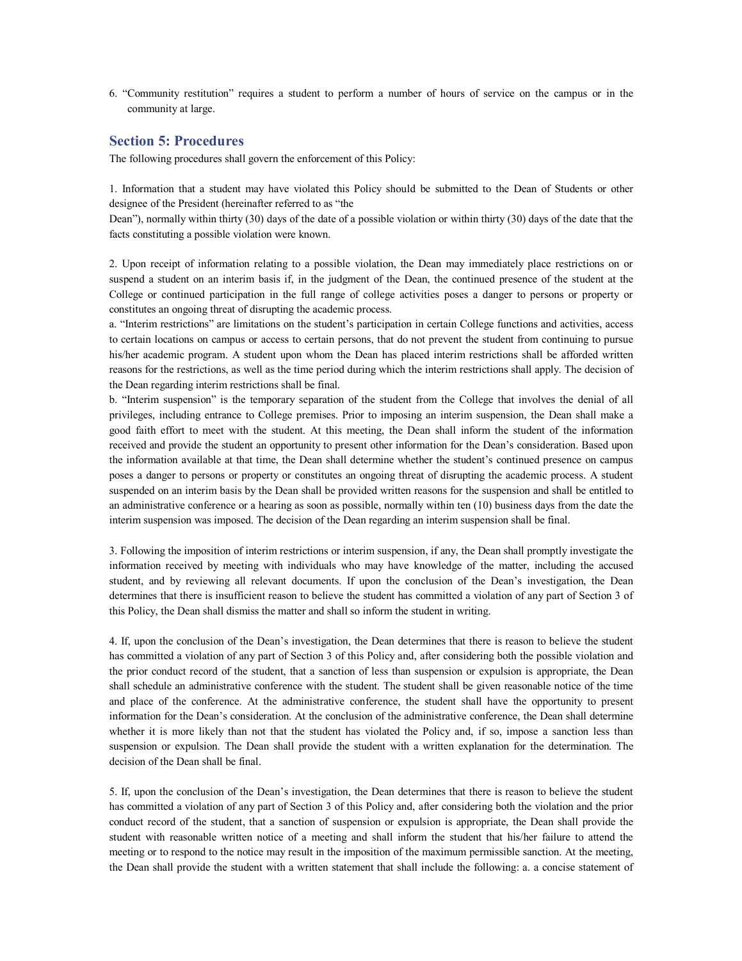6. "Community restitution" requires a student to perform a number of hours of service on the campus or in the community at large.

#### **Section 5: Procedures**

The following procedures shall govern the enforcement of this Policy:

1. Information that a student may have violated this Policy should be submitted to the Dean of Students or other designee of the President (hereinafter referred to as "the

Dean"), normally within thirty (30) days of the date of a possible violation or within thirty (30) days of the date that the facts constituting a possible violation were known.

2. Upon receipt of information relating to a possible violation, the Dean may immediately place restrictions on or suspend a student on an interim basis if, in the judgment of the Dean, the continued presence of the student at the College or continued participation in the full range of college activities poses a danger to persons or property or constitutes an ongoing threat of disrupting the academic process.

a. "Interim restrictions" are limitations on the student's participation in certain College functions and activities, access to certain locations on campus or access to certain persons, that do not prevent the student from continuing to pursue his/her academic program. A student upon whom the Dean has placed interim restrictions shall be afforded written reasons for the restrictions, as well as the time period during which the interim restrictions shall apply. The decision of the Dean regarding interim restrictions shall be final.

b. "Interim suspension" is the temporary separation of the student from the College that involves the denial of all privileges, including entrance to College premises. Prior to imposing an interim suspension, the Dean shall make a good faith effort to meet with the student. At this meeting, the Dean shall inform the student of the information received and provide the student an opportunity to present other information for the Dean's consideration. Based upon the information available at that time, the Dean shall determine whether the student's continued presence on campus poses a danger to persons or property or constitutes an ongoing threat of disrupting the academic process. A student suspended on an interim basis by the Dean shall be provided written reasons for the suspension and shall be entitled to an administrative conference or a hearing as soon as possible, normally within ten (10) business days from the date the interim suspension was imposed. The decision of the Dean regarding an interim suspension shall be final.

3. Following the imposition of interim restrictions or interim suspension, if any, the Dean shall promptly investigate the information received by meeting with individuals who may have knowledge of the matter, including the accused student, and by reviewing all relevant documents. If upon the conclusion of the Dean's investigation, the Dean determines that there is insufficient reason to believe the student has committed a violation of any part of Section 3 of this Policy, the Dean shall dismiss the matter and shall so inform the student in writing.

4. If, upon the conclusion of the Dean's investigation, the Dean determines that there is reason to believe the student has committed a violation of any part of Section 3 of this Policy and, after considering both the possible violation and the prior conduct record of the student, that a sanction of less than suspension or expulsion is appropriate, the Dean shall schedule an administrative conference with the student. The student shall be given reasonable notice of the time and place of the conference. At the administrative conference, the student shall have the opportunity to present information for the Dean's consideration. At the conclusion of the administrative conference, the Dean shall determine whether it is more likely than not that the student has violated the Policy and, if so, impose a sanction less than suspension or expulsion. The Dean shall provide the student with a written explanation for the determination. The decision of the Dean shall be final.

5. If, upon the conclusion of the Dean's investigation, the Dean determines that there is reason to believe the student has committed a violation of any part of Section 3 of this Policy and, after considering both the violation and the prior conduct record of the student, that a sanction of suspension or expulsion is appropriate, the Dean shall provide the student with reasonable written notice of a meeting and shall inform the student that his/her failure to attend the meeting or to respond to the notice may result in the imposition of the maximum permissible sanction. At the meeting, the Dean shall provide the student with a written statement that shall include the following: a. a concise statement of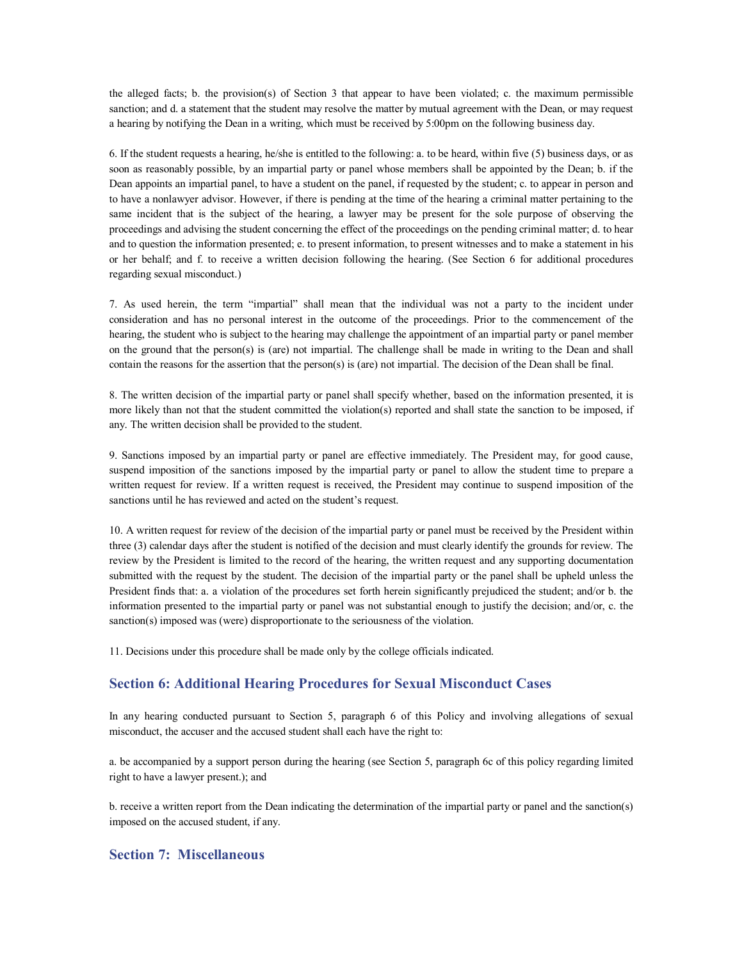the alleged facts; b. the provision(s) of Section 3 that appear to have been violated; c. the maximum permissible sanction; and d. a statement that the student may resolve the matter by mutual agreement with the Dean, or may request a hearing by notifying the Dean in a writing, which must be received by 5:00pm on the following business day.

6. If the student requests a hearing, he/she is entitled to the following: a. to be heard, within five (5) business days, or as soon as reasonably possible, by an impartial party or panel whose members shall be appointed by the Dean; b. if the Dean appoints an impartial panel, to have a student on the panel, if requested by the student; c. to appear in person and to have a nonlawyer advisor. However, if there is pending at the time of the hearing a criminal matter pertaining to the same incident that is the subject of the hearing, a lawyer may be present for the sole purpose of observing the proceedings and advising the student concerning the effect of the proceedings on the pending criminal matter; d. to hear and to question the information presented; e. to present information, to present witnesses and to make a statement in his or her behalf; and f. to receive a written decision following the hearing. (See Section 6 for additional procedures regarding sexual misconduct.)

7. As used herein, the term "impartial" shall mean that the individual was not a party to the incident under consideration and has no personal interest in the outcome of the proceedings. Prior to the commencement of the hearing, the student who is subject to the hearing may challenge the appointment of an impartial party or panel member on the ground that the person(s) is (are) not impartial. The challenge shall be made in writing to the Dean and shall contain the reasons for the assertion that the person(s) is (are) not impartial. The decision of the Dean shall be final.

8. The written decision of the impartial party or panel shall specify whether, based on the information presented, it is more likely than not that the student committed the violation(s) reported and shall state the sanction to be imposed, if any. The written decision shall be provided to the student.

9. Sanctions imposed by an impartial party or panel are effective immediately. The President may, for good cause, suspend imposition of the sanctions imposed by the impartial party or panel to allow the student time to prepare a written request for review. If a written request is received, the President may continue to suspend imposition of the sanctions until he has reviewed and acted on the student's request.

10. A written request for review of the decision of the impartial party or panel must be received by the President within three (3) calendar days after the student is notified of the decision and must clearly identify the grounds for review. The review by the President is limited to the record of the hearing, the written request and any supporting documentation submitted with the request by the student. The decision of the impartial party or the panel shall be upheld unless the President finds that: a. a violation of the procedures set forth herein significantly prejudiced the student; and/or b. the information presented to the impartial party or panel was not substantial enough to justify the decision; and/or, c. the sanction(s) imposed was (were) disproportionate to the seriousness of the violation.

11. Decisions under this procedure shall be made only by the college officials indicated.

# **Section 6: Additional Hearing Procedures for Sexual Misconduct Cases**

In any hearing conducted pursuant to Section 5, paragraph 6 of this Policy and involving allegations of sexual misconduct, the accuser and the accused student shall each have the right to:

a. be accompanied by a support person during the hearing (see Section 5, paragraph 6c of this policy regarding limited right to have a lawyer present.); and

b. receive a written report from the Dean indicating the determination of the impartial party or panel and the sanction(s) imposed on the accused student, if any.

# **Section 7: Miscellaneous**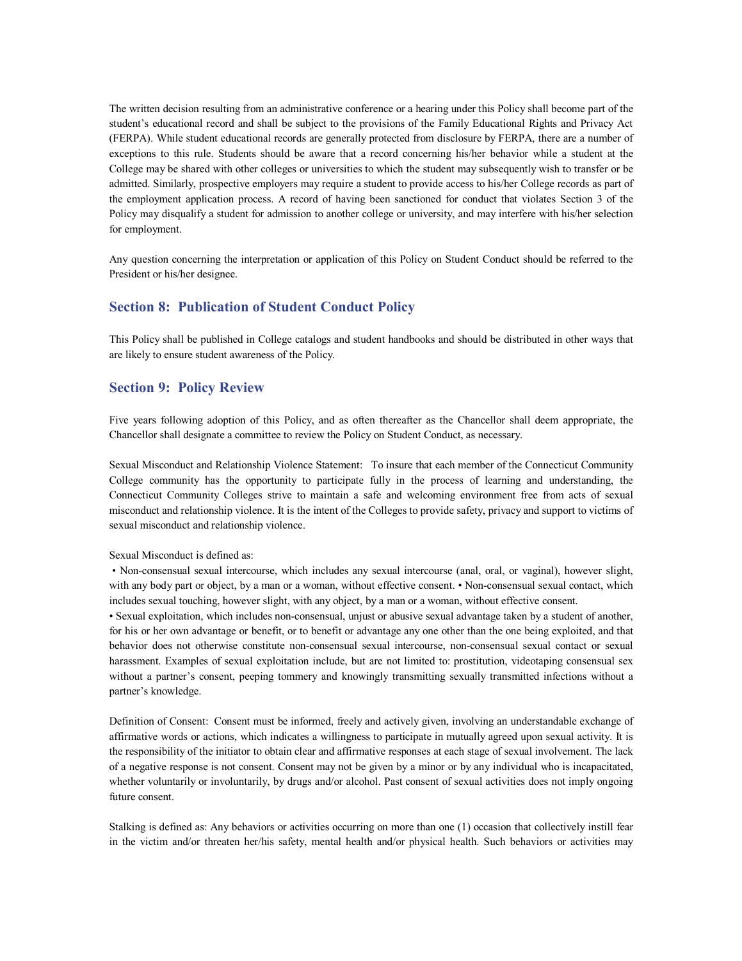The written decision resulting from an administrative conference or a hearing under this Policy shall become part of the student's educational record and shall be subject to the provisions of the Family Educational Rights and Privacy Act (FERPA). While student educational records are generally protected from disclosure by FERPA, there are a number of exceptions to this rule. Students should be aware that a record concerning his/her behavior while a student at the College may be shared with other colleges or universities to which the student may subsequently wish to transfer or be admitted. Similarly, prospective employers may require a student to provide access to his/her College records as part of the employment application process. A record of having been sanctioned for conduct that violates Section 3 of the Policy may disqualify a student for admission to another college or university, and may interfere with his/her selection for employment.

Any question concerning the interpretation or application of this Policy on Student Conduct should be referred to the President or his/her designee.

# **Section 8: Publication of Student Conduct Policy**

This Policy shall be published in College catalogs and student handbooks and should be distributed in other ways that are likely to ensure student awareness of the Policy.

# **Section 9: Policy Review**

Five years following adoption of this Policy, and as often thereafter as the Chancellor shall deem appropriate, the Chancellor shall designate a committee to review the Policy on Student Conduct, as necessary.

Sexual Misconduct and Relationship Violence Statement: To insure that each member of the Connecticut Community College community has the opportunity to participate fully in the process of learning and understanding, the Connecticut Community Colleges strive to maintain a safe and welcoming environment free from acts of sexual misconduct and relationship violence. It is the intent of the Colleges to provide safety, privacy and support to victims of sexual misconduct and relationship violence.

#### Sexual Misconduct is defined as:

• Non-consensual sexual intercourse, which includes any sexual intercourse (anal, oral, or vaginal), however slight, with any body part or object, by a man or a woman, without effective consent. • Non-consensual sexual contact, which includes sexual touching, however slight, with any object, by a man or a woman, without effective consent.

• Sexual exploitation, which includes non-consensual, unjust or abusive sexual advantage taken by a student of another, for his or her own advantage or benefit, or to benefit or advantage any one other than the one being exploited, and that behavior does not otherwise constitute nonconsensual sexual intercourse, nonconsensual sexual contact or sexual harassment. Examples of sexual exploitation include, but are not limited to: prostitution, videotaping consensual sex without a partner's consent, peeping tommery and knowingly transmitting sexually transmitted infections without a partner's knowledge.

Definition of Consent: Consent must be informed, freely and actively given, involving an understandable exchange of affirmative words or actions, which indicates a willingness to participate in mutually agreed upon sexual activity. It is the responsibility of the initiator to obtain clear and affirmative responses at each stage of sexual involvement. The lack of a negative response is not consent. Consent may not be given by a minor or by any individual who is incapacitated, whether voluntarily or involuntarily, by drugs and/or alcohol. Past consent of sexual activities does not imply ongoing future consent.

Stalking is defined as: Any behaviors or activities occurring on more than one (1) occasion that collectively instill fear in the victim and/or threaten her/his safety, mental health and/or physical health. Such behaviors or activities may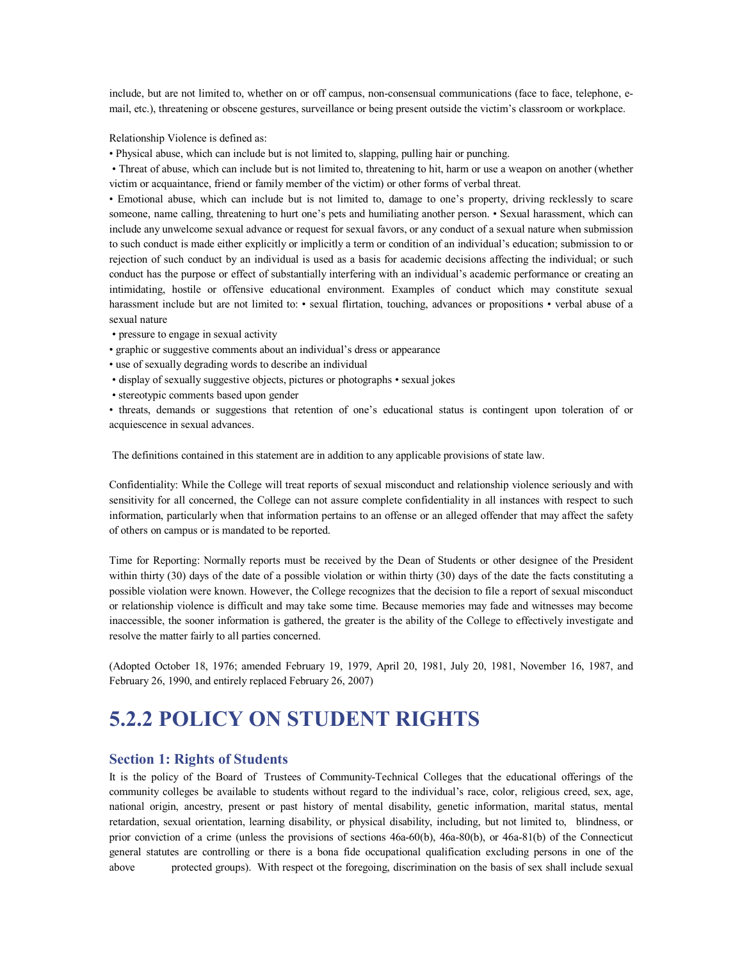include, but are not limited to, whether on or off campus, non-consensual communications (face to face, telephone, email, etc.), threatening or obscene gestures, surveillance or being present outside the victim's classroom or workplace.

Relationship Violence is defined as:

• Physical abuse, which can include but is not limited to, slapping, pulling hair or punching.

• Threat of abuse, which can include but is not limited to, threatening to hit, harm or use a weapon on another (whether victim or acquaintance, friend or family member of the victim) or other forms of verbal threat.

• Emotional abuse, which can include but is not limited to, damage to one's property, driving recklessly to scare someone, name calling, threatening to hurt one's pets and humiliating another person. • Sexual harassment, which can include any unwelcome sexual advance or request for sexual favors, or any conduct of a sexual nature when submission to such conduct is made either explicitly or implicitly a term or condition of an individual's education; submission to or rejection of such conduct by an individual is used as a basis for academic decisions affecting the individual; or such conduct has the purpose or effect of substantially interfering with an individual's academic performance or creating an intimidating, hostile or offensive educational environment. Examples of conduct which may constitute sexual harassment include but are not limited to: • sexual flirtation, touching, advances or propositions • verbal abuse of a sexual nature

- pressure to engage in sexual activity
- graphic or suggestive comments about an individual's dress or appearance
- use of sexually degrading words to describe an individual
- display of sexually suggestive objects, pictures or photographs sexual jokes
- stereotypic comments based upon gender

• threats, demands or suggestions that retention of one's educational status is contingent upon toleration of or acquiescence in sexual advances.

The definitions contained in this statement are in addition to any applicable provisions of state law.

Confidentiality: While the College will treat reports of sexual misconduct and relationship violence seriously and with sensitivity for all concerned, the College can not assure complete confidentiality in all instances with respect to such information, particularly when that information pertains to an offense or an alleged offender that may affect the safety of others on campus or is mandated to be reported.

Time for Reporting: Normally reports must be received by the Dean of Students or other designee of the President within thirty (30) days of the date of a possible violation or within thirty (30) days of the date the facts constituting a possible violation were known. However, the College recognizes that the decision to file a report of sexual misconduct or relationship violence is difficult and may take some time. Because memories may fade and witnesses may become inaccessible, the sooner information is gathered, the greater is the ability of the College to effectively investigate and resolve the matter fairly to all parties concerned.

(Adopted October 18, 1976; amended February 19, 1979, April 20, 1981, July 20, 1981, November 16, 1987, and February 26, 1990, and entirely replaced February 26, 2007)

# **5.2.2 POLICY ON STUDENT RIGHTS**

### **Section 1: Rights of Students**

It is the policy of the Board of Trustees of Community-Technical Colleges that the educational offerings of the community colleges be available to students without regard to the individual's race, color, religious creed, sex, age, national origin, ancestry, present or past history of mental disability, genetic information, marital status, mental retardation, sexual orientation, learning disability, or physical disability, including, but not limited to, blindness, or prior conviction of a crime (unless the provisions of sections  $46a-60(b)$ ,  $46a-80(b)$ , or  $46a-81(b)$  of the Connecticut general statutes are controlling or there is a bona fide occupational qualification excluding persons in one of the above protected groups). With respect ot the foregoing, discrimination on the basis of sex shall include sexual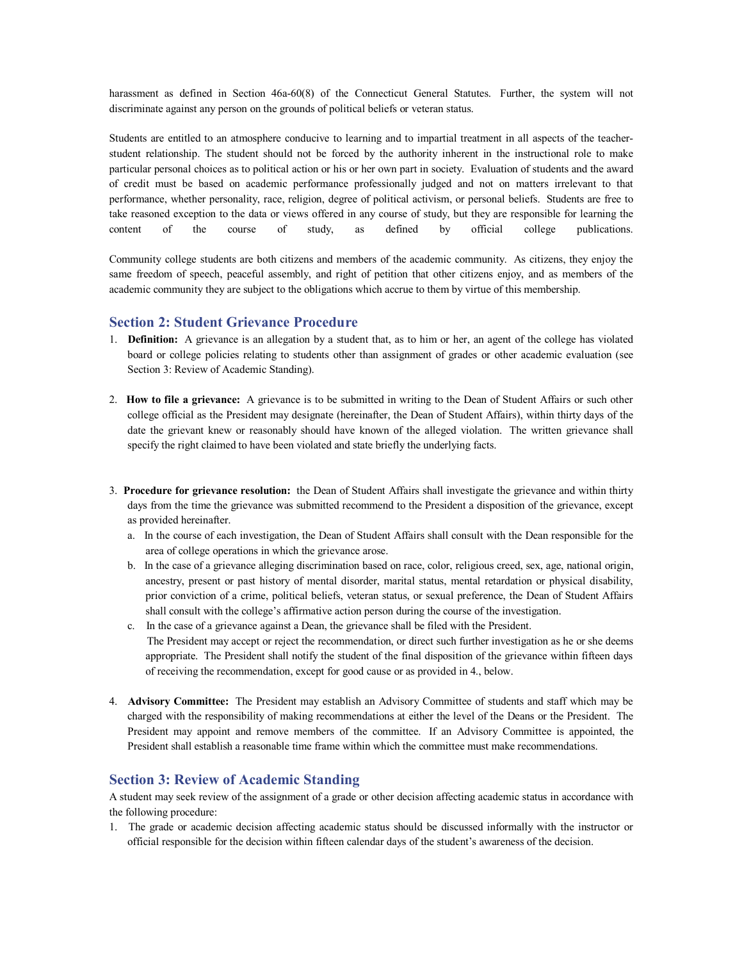harassment as defined in Section 46a-60(8) of the Connecticut General Statutes. Further, the system will not discriminate against any person on the grounds of political beliefs or veteran status.

Students are entitled to an atmosphere conducive to learning and to impartial treatment in all aspects of the teacherstudent relationship. The student should not be forced by the authority inherent in the instructional role to make particular personal choices as to political action or his or her own part in society. Evaluation of students and the award of credit must be based on academic performance professionally judged and not on matters irrelevant to that performance, whether personality, race, religion, degree of political activism, or personal beliefs. Students are free to take reasoned exception to the data or views offered in any course of study, but they are responsible for learning the content of the course of study, as defined by official college publications.

Community college students are both citizens and members of the academic community. As citizens, they enjoy the same freedom of speech, peaceful assembly, and right of petition that other citizens enjoy, and as members of the academic community they are subject to the obligations which accrue to them by virtue of this membership.

### **Section 2: Student Grievance Procedure**

- 1. **Definition:** A grievance is an allegation by a student that, as to him or her, an agent of the college has violated board or college policies relating to students other than assignment of grades or other academic evaluation (see Section 3: Review of Academic Standing).
- 2. **How to file a grievance:** A grievance is to be submitted in writing to the Dean of Student Affairs or such other college official as the President may designate (hereinafter, the Dean of Student Affairs), within thirty days of the date the grievant knew or reasonably should have known of the alleged violation. The written grievance shall specify the right claimed to have been violated and state briefly the underlying facts.
- 3. **Procedure for grievance resolution:** the Dean of Student Affairs shall investigate the grievance and within thirty days from the time the grievance was submitted recommend to the President a disposition of the grievance, except as provided hereinafter.
	- a. In the course of each investigation, the Dean of Student Affairs shall consult with the Dean responsible for the area of college operations in which the grievance arose.
	- b. In the case of a grievance alleging discrimination based on race, color, religious creed, sex, age, national origin, ancestry, present or past history of mental disorder, marital status, mental retardation or physical disability, prior conviction of a crime, political beliefs, veteran status, or sexual preference, the Dean of Student Affairs shall consult with the college's affirmative action person during the course of the investigation.
	- c. In the case of a grievance against a Dean, the grievance shall be filed with the President. The President may accept or reject the recommendation, or direct such further investigation as he or she deems appropriate. The President shall notify the student of the final disposition of the grievance within fifteen days of receiving the recommendation, except for good cause or as provided in 4., below.
- 4. **Advisory Committee:** The President may establish an Advisory Committee of students and staff which may be charged with the responsibility of making recommendations at either the level of the Deans or the President. The President may appoint and remove members of the committee. If an Advisory Committee is appointed, the President shall establish a reasonable time frame within which the committee must make recommendations.

### **Section 3: Review of Academic Standing**

A student may seek review of the assignment of a grade or other decision affecting academic status in accordance with the following procedure:

1. The grade or academic decision affecting academic status should be discussed informally with the instructor or official responsible for the decision within fifteen calendar days of the student's awareness of the decision.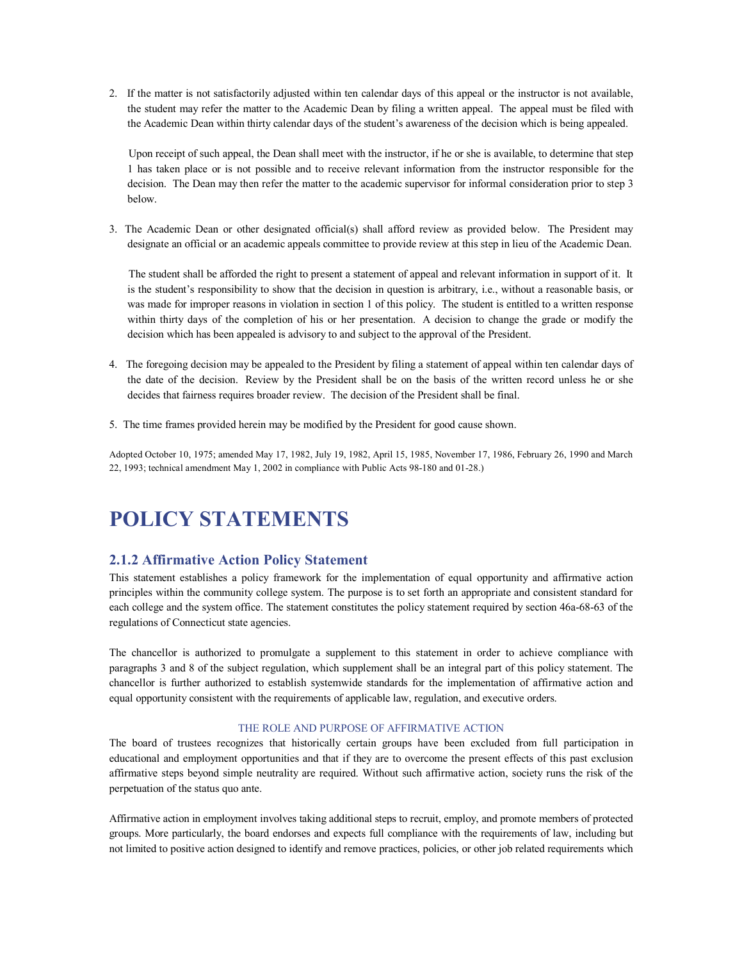2. If the matter is not satisfactorily adjusted within ten calendar days of this appeal or the instructor is not available, the student may refer the matter to the Academic Dean by filing a written appeal. The appeal must be filed with the Academic Dean within thirty calendar days of the student's awareness of the decision which is being appealed.

Upon receipt of such appeal, the Dean shall meet with the instructor, if he or she is available, to determine that step 1 has taken place or is not possible and to receive relevant information from the instructor responsible for the decision. The Dean may then refer the matter to the academic supervisor for informal consideration prior to step 3 below.

3. The Academic Dean or other designated official(s) shall afford review as provided below. The President may designate an official or an academic appeals committee to provide review at this step in lieu of the Academic Dean.

The student shall be afforded the right to present a statement of appeal and relevant information in support of it. It is the student's responsibility to show that the decision in question is arbitrary, i.e., without a reasonable basis, or was made for improper reasons in violation in section 1 of this policy. The student is entitled to a written response within thirty days of the completion of his or her presentation. A decision to change the grade or modify the decision which has been appealed is advisory to and subject to the approval of the President.

- 4. The foregoing decision may be appealed to the President by filing a statement of appeal within ten calendar days of the date of the decision. Review by the President shall be on the basis of the written record unless he or she decides that fairness requires broader review. The decision of the President shall be final.
- 5. The time frames provided herein may be modified by the President for good cause shown.

Adopted October 10, 1975; amended May 17, 1982, July 19, 1982, April 15, 1985, November 17, 1986, February 26, 1990 and March 22, 1993; technical amendment May 1, 2002 in compliance with Public Acts 98-180 and 01-28.)

# **POLICY STATEMENTS**

# **2.1.2 Affirmative Action Policy Statement**

This statement establishes a policy framework for the implementation of equal opportunity and affirmative action principles within the community college system. The purpose is to set forth an appropriate and consistent standard for each college and the system office. The statement constitutes the policy statement required by section 46a-68-63 of the regulations of Connecticut state agencies.

The chancellor is authorized to promulgate a supplement to this statement in order to achieve compliance with paragraphs 3 and 8 of the subject regulation, which supplement shall be an integral part of this policy statement. The chancellor is further authorized to establish systemwide standards for the implementation of affirmative action and equal opportunity consistent with the requirements of applicable law, regulation, and executive orders.

#### THE ROLE AND PURPOSE OF AFFIRMATIVE ACTION

The board of trustees recognizes that historically certain groups have been excluded from full participation in educational and employment opportunities and that if they are to overcome the present effects of this past exclusion affirmative steps beyond simple neutrality are required. Without such affirmative action, society runs the risk of the perpetuation of the status quo ante.

Affirmative action in employment involves taking additional steps to recruit, employ, and promote members of protected groups. More particularly, the board endorses and expects full compliance with the requirements of law, including but not limited to positive action designed to identify and remove practices, policies, or other job related requirements which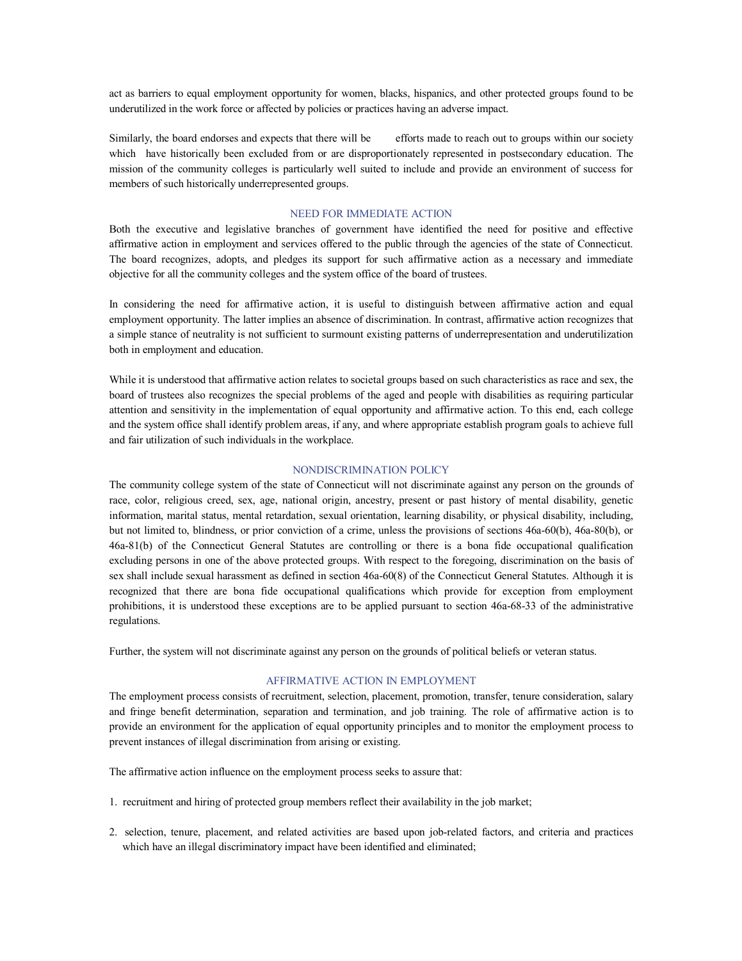act as barriers to equal employment opportunity for women, blacks, hispanics, and other protected groups found to be underutilized in the work force or affected by policies or practices having an adverse impact.

Similarly, the board endorses and expects that there will be efforts made to reach out to groups within our society which have historically been excluded from or are disproportionately represented in postsecondary education. The mission of the community colleges is particularly well suited to include and provide an environment of success for members of such historically underrepresented groups.

#### NEED FOR IMMEDIATE ACTION

Both the executive and legislative branches of government have identified the need for positive and effective affirmative action in employment and services offered to the public through the agencies of the state of Connecticut. The board recognizes, adopts, and pledges its support for such affirmative action as a necessary and immediate objective for all the community colleges and the system office of the board of trustees.

In considering the need for affirmative action, it is useful to distinguish between affirmative action and equal employment opportunity. The latter implies an absence of discrimination. In contrast, affirmative action recognizes that a simple stance of neutrality is not sufficient to surmount existing patterns of underrepresentation and underutilization both in employment and education.

While it is understood that affirmative action relates to societal groups based on such characteristics as race and sex, the board of trustees also recognizes the special problems of the aged and people with disabilities as requiring particular attention and sensitivity in the implementation of equal opportunity and affirmative action. To this end, each college and the system office shall identify problem areas, if any, and where appropriate establish program goals to achieve full and fair utilization of such individuals in the workplace.

#### NONDISCRIMINATION POLICY

The community college system of the state of Connecticut will not discriminate against any person on the grounds of race, color, religious creed, sex, age, national origin, ancestry, present or past history of mental disability, genetic information, marital status, mental retardation, sexual orientation, learning disability, or physical disability, including, but not limited to, blindness, or prior conviction of a crime, unless the provisions of sections 46a-60(b), 46a-80(b), or 46a81(b) of the Connecticut General Statutes are controlling or there is a bona fide occupational qualification excluding persons in one of the above protected groups. With respect to the foregoing, discrimination on the basis of sex shall include sexual harassment as defined in section 46a-60(8) of the Connecticut General Statutes. Although it is recognized that there are bona fide occupational qualifications which provide for exception from employment prohibitions, it is understood these exceptions are to be applied pursuant to section 46a-68-33 of the administrative regulations.

Further, the system will not discriminate against any person on the grounds of political beliefs or veteran status.

#### AFFIRMATIVE ACTION IN EMPLOYMENT

The employment process consists of recruitment, selection, placement, promotion, transfer, tenure consideration, salary and fringe benefit determination, separation and termination, and job training. The role of affirmative action is to provide an environment for the application of equal opportunity principles and to monitor the employment process to prevent instances of illegal discrimination from arising or existing.

The affirmative action influence on the employment process seeks to assure that:

- 1. recruitment and hiring of protected group members reflect their availability in the job market;
- 2. selection, tenure, placement, and related activities are based upon jobrelated factors, and criteria and practices which have an illegal discriminatory impact have been identified and eliminated;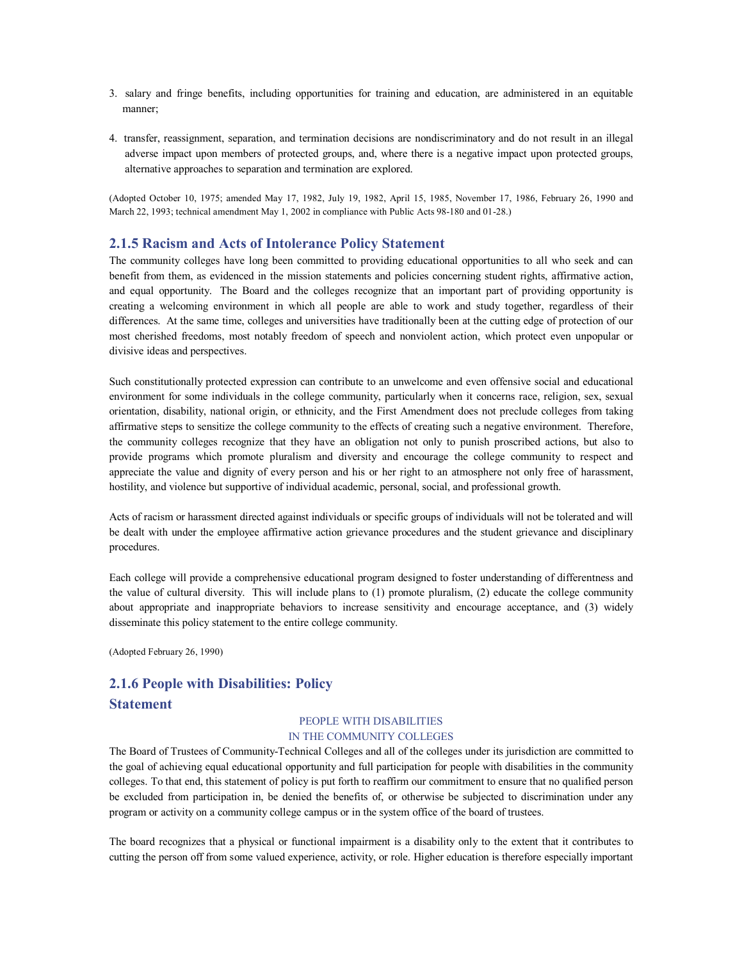- 3. salary and fringe benefits, including opportunities for training and education, are administered in an equitable manner;
- 4. transfer, reassignment, separation, and termination decisions are nondiscriminatory and do not result in an illegal adverse impact upon members of protected groups, and, where there is a negative impact upon protected groups, alternative approaches to separation and termination are explored.

(Adopted October 10, 1975; amended May 17, 1982, July 19, 1982, April 15, 1985, November 17, 1986, February 26, 1990 and March 22, 1993; technical amendment May 1, 2002 in compliance with Public Acts 98-180 and 01-28.)

### **2.1.5 Racism and Acts of Intolerance Policy Statement**

The community colleges have long been committed to providing educational opportunities to all who seek and can benefit from them, as evidenced in the mission statements and policies concerning student rights, affirmative action, and equal opportunity. The Board and the colleges recognize that an important part of providing opportunity is creating a welcoming environment in which all people are able to work and study together, regardless of their differences. At the same time, colleges and universities have traditionally been at the cutting edge of protection of our most cherished freedoms, most notably freedom of speech and nonviolent action, which protect even unpopular or divisive ideas and perspectives.

Such constitutionally protected expression can contribute to an unwelcome and even offensive social and educational environment for some individuals in the college community, particularly when it concerns race, religion, sex, sexual orientation, disability, national origin, or ethnicity, and the First Amendment does not preclude colleges from taking affirmative steps to sensitize the college community to the effects of creating such a negative environment. Therefore, the community colleges recognize that they have an obligation not only to punish proscribed actions, but also to provide programs which promote pluralism and diversity and encourage the college community to respect and appreciate the value and dignity of every person and his or her right to an atmosphere not only free of harassment, hostility, and violence but supportive of individual academic, personal, social, and professional growth.

Acts of racism or harassment directed against individuals or specific groups of individuals will not be tolerated and will be dealt with under the employee affirmative action grievance procedures and the student grievance and disciplinary procedures.

Each college will provide a comprehensive educational program designed to foster understanding of differentness and the value of cultural diversity. This will include plans to (1) promote pluralism, (2) educate the college community about appropriate and inappropriate behaviors to increase sensitivity and encourage acceptance, and (3) widely disseminate this policy statement to the entire college community.

(Adopted February 26, 1990)

# **2.1.6 People with Disabilities: Policy Statement**

#### PEOPLE WITH DISABILITIES IN THE COMMUNITY COLLEGES

The Board of Trustees of Community-Technical Colleges and all of the colleges under its jurisdiction are committed to the goal of achieving equal educational opportunity and full participation for people with disabilities in the community colleges. To that end, this statement of policy is put forth to reaffirm our commitment to ensure that no qualified person be excluded from participation in, be denied the benefits of, or otherwise be subjected to discrimination under any program or activity on a community college campus or in the system office of the board of trustees.

The board recognizes that a physical or functional impairment is a disability only to the extent that it contributes to cutting the person off from some valued experience, activity, or role. Higher education is therefore especially important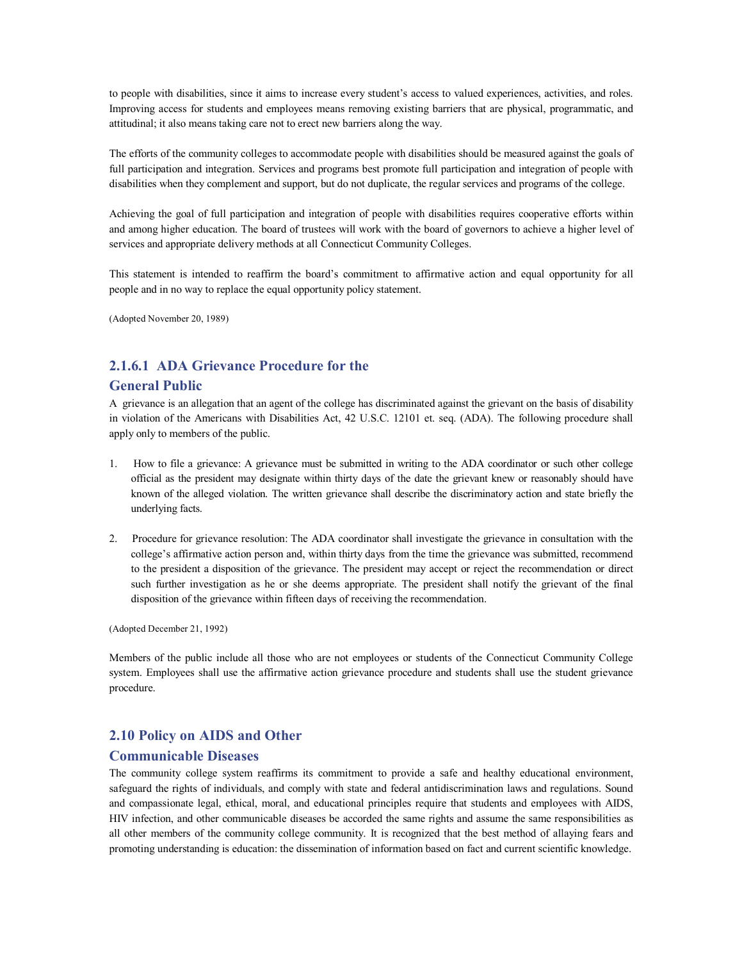to people with disabilities, since it aims to increase every student's access to valued experiences, activities, and roles. Improving access for students and employees means removing existing barriers that are physical, programmatic, and attitudinal; it also means taking care not to erect new barriers along the way.

The efforts of the community colleges to accommodate people with disabilities should be measured against the goals of full participation and integration. Services and programs best promote full participation and integration of people with disabilities when they complement and support, but do not duplicate, the regular services and programs of the college.

Achieving the goal of full participation and integration of people with disabilities requires cooperative efforts within and among higher education. The board of trustees will work with the board of governors to achieve a higher level of services and appropriate delivery methods at all Connecticut Community Colleges.

This statement is intended to reaffirm the board's commitment to affirmative action and equal opportunity for all people and in no way to replace the equal opportunity policy statement.

(Adopted November 20, 1989)

# **2.1.6.1 ADA Grievance Procedure for the**

#### **General Public**

A grievance is an allegation that an agent of the college has discriminated against the grievant on the basis of disability in violation of the Americans with Disabilities Act, 42 U.S.C. 12101 et. seq. (ADA). The following procedure shall apply only to members of the public.

- 1. How to file a grievance: A grievance must be submitted in writing to the ADA coordinator or such other college official as the president may designate within thirty days of the date the grievant knew or reasonably should have known of the alleged violation. The written grievance shall describe the discriminatory action and state briefly the underlying facts.
- 2. Procedure for grievance resolution: The ADA coordinator shall investigate the grievance in consultation with the college's affirmative action person and, within thirty days from the time the grievance was submitted, recommend to the president a disposition of the grievance. The president may accept or reject the recommendation or direct such further investigation as he or she deems appropriate. The president shall notify the grievant of the final disposition of the grievance within fifteen days of receiving the recommendation.

(Adopted December 21, 1992)

Members of the public include all those who are not employees or students of the Connecticut Community College system. Employees shall use the affirmative action grievance procedure and students shall use the student grievance procedure.

# **2.10 Policy on AIDS and Other**

#### **Communicable Diseases**

The community college system reaffirms its commitment to provide a safe and healthy educational environment, safeguard the rights of individuals, and comply with state and federal antidiscrimination laws and regulations. Sound and compassionate legal, ethical, moral, and educational principles require that students and employees with AIDS, HIV infection, and other communicable diseases be accorded the same rights and assume the same responsibilities as all other members of the community college community. It is recognized that the best method of allaying fears and promoting understanding is education: the dissemination of information based on fact and current scientific knowledge.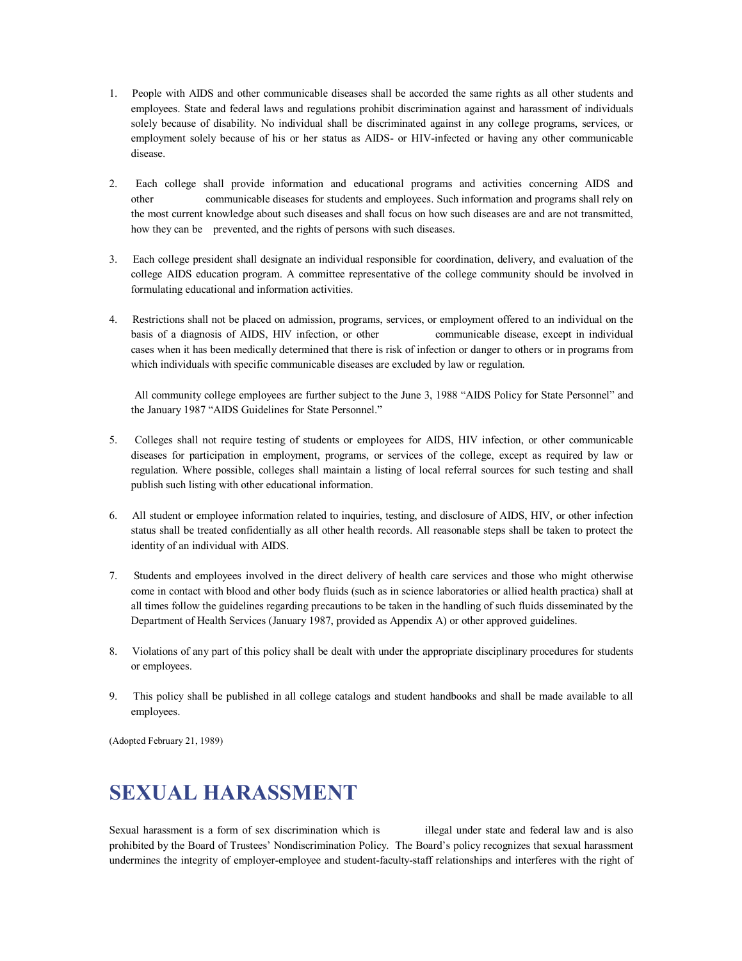- 1. People with AIDS and other communicable diseases shall be accorded the same rights as all other students and employees. State and federal laws and regulations prohibit discrimination against and harassment of individuals solely because of disability. No individual shall be discriminated against in any college programs, services, or employment solely because of his or her status as AIDS- or HIV-infected or having any other communicable disease.
- 2. Each college shall provide information and educational programs and activities concerning AIDS and other communicable diseases for students and employees. Such information and programs shall rely on the most current knowledge about such diseases and shall focus on how such diseases are and are not transmitted, how they can be prevented, and the rights of persons with such diseases.
- 3. Each college president shall designate an individual responsible for coordination, delivery, and evaluation of the college AIDS education program. A committee representative of the college community should be involved in formulating educational and information activities.
- 4. Restrictions shall not be placed on admission, programs, services, or employment offered to an individual on the basis of a diagnosis of AIDS, HIV infection, or other communicable disease, except in individual cases when it has been medically determined that there is risk of infection or danger to others or in programs from which individuals with specific communicable diseases are excluded by law or regulation.

All community college employees are further subject to the June 3, 1988 "AIDS Policy for State Personnel" and the January 1987 "AIDS Guidelines for State Personnel."

- 5. Colleges shall not require testing of students or employees for AIDS, HIV infection, or other communicable diseases for participation in employment, programs, or services of the college, except as required by law or regulation. Where possible, colleges shall maintain a listing of local referral sources for such testing and shall publish such listing with other educational information.
- 6. All student or employee information related to inquiries, testing, and disclosure of AIDS, HIV, or other infection status shall be treated confidentially as all other health records. All reasonable steps shall be taken to protect the identity of an individual with AIDS.
- 7. Students and employees involved in the direct delivery of health care services and those who might otherwise come in contact with blood and other body fluids (such as in science laboratories or allied health practica) shall at all times follow the guidelines regarding precautions to be taken in the handling of such fluids disseminated by the Department of Health Services (January 1987, provided as Appendix A) or other approved guidelines.
- 8. Violations of any part of this policy shall be dealt with under the appropriate disciplinary procedures for students or employees.
- 9. This policy shall be published in all college catalogs and student handbooks and shall be made available to all employees.

(Adopted February 21, 1989)

# **SEXUAL HARASSMENT**

Sexual harassment is a form of sex discrimination which is illegal under state and federal law and is also prohibited by the Board of Trustees' Nondiscrimination Policy. The Board's policy recognizes that sexual harassment undermines the integrity of employer-employee and student-faculty-staff relationships and interferes with the right of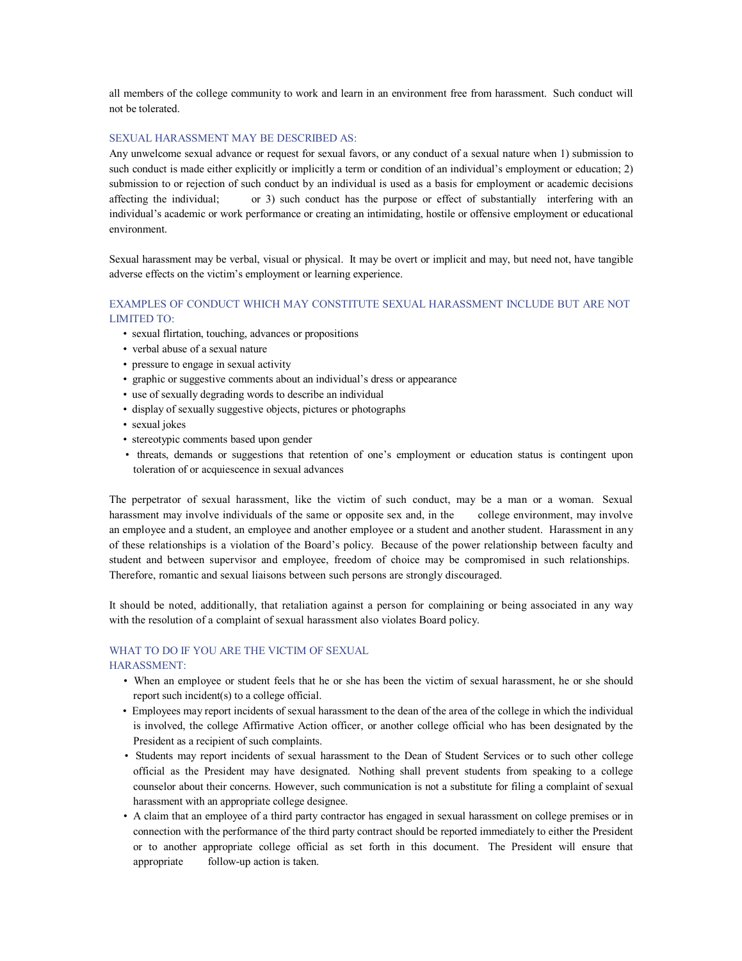all members of the college community to work and learn in an environment free from harassment. Such conduct will not be tolerated.

#### SEXUAL HARASSMENT MAY BE DESCRIBED AS:

Any unwelcome sexual advance or request for sexual favors, or any conduct of a sexual nature when 1) submission to such conduct is made either explicitly or implicitly a term or condition of an individual's employment or education; 2) submission to or rejection of such conduct by an individual is used as a basis for employment or academic decisions affecting the individual; or 3) such conduct has the purpose or effect of substantially interfering with an individual's academic or work performance or creating an intimidating, hostile or offensive employment or educational environment.

Sexual harassment may be verbal, visual or physical. It may be overt or implicit and may, but need not, have tangible adverse effects on the victim's employment or learning experience.

#### EXAMPLES OF CONDUCT WHICH MAY CONSTITUTE SEXUAL HARASSMENT INCLUDE BUT ARE NOT LIMITED TO:

- sexual flirtation, touching, advances or propositions
- verbal abuse of a sexual nature
- pressure to engage in sexual activity
- graphic or suggestive comments about an individual's dress or appearance
- use of sexually degrading words to describe an individual
- display of sexually suggestive objects, pictures or photographs
- sexual jokes
- stereotypic comments based upon gender
- threats, demands or suggestions that retention of one's employment or education status is contingent upon toleration of or acquiescence in sexual advances

The perpetrator of sexual harassment, like the victim of such conduct, may be a man or a woman. Sexual harassment may involve individuals of the same or opposite sex and, in the college environment, may involve an employee and a student, an employee and another employee or a student and another student. Harassment in any of these relationships is a violation of the Board's policy. Because of the power relationship between faculty and student and between supervisor and employee, freedom of choice may be compromised in such relationships. Therefore, romantic and sexual liaisons between such persons are strongly discouraged.

It should be noted, additionally, that retaliation against a person for complaining or being associated in any way with the resolution of a complaint of sexual harassment also violates Board policy.

#### WHAT TO DO IF YOU ARE THE VICTIM OF SEXUAL

#### HARASSMENT:

- When an employee or student feels that he or she has been the victim of sexual harassment, he or she should report such incident(s) to a college official.
- Employees may report incidents of sexual harassment to the dean of the area of the college in which the individual is involved, the college Affirmative Action officer, or another college official who has been designated by the President as a recipient of such complaints.
- Students may report incidents of sexual harassment to the Dean of Student Services or to such other college official as the President may have designated. Nothing shall prevent students from speaking to a college counselor about their concerns. However, such communication is not a substitute for filing a complaint of sexual harassment with an appropriate college designee.
- A claim that an employee of a third party contractor has engaged in sexual harassment on college premises or in connection with the performance of the third party contract should be reported immediately to either the President or to another appropriate college official as set forth in this document. The President will ensure that appropriate follow-up action is taken.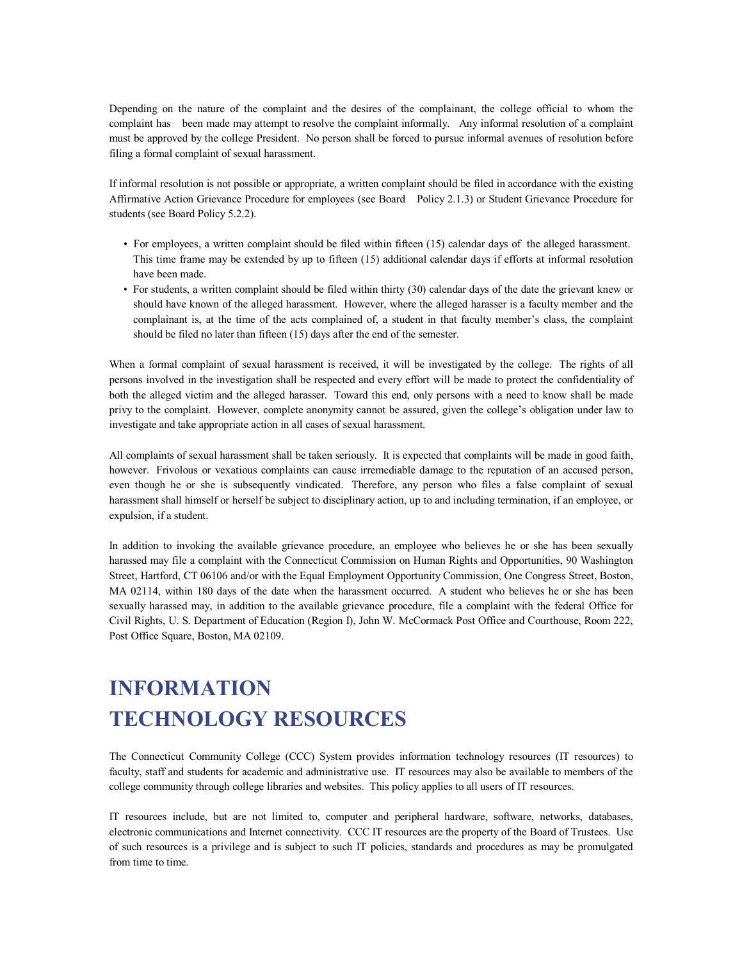Depending on the nature of the complaint and the desires of the complainant, the college official to whom the complaint has been made may attempt to resolve the complaint informally. Any informal resolution of a complaint must be approved by the college President. No person shall be forced to pursue informal avenues of resolution before filing a formal complaint of sexual harassment.

If informal resolution is not possible or appropriate, a written complaint should be filed in accordance with the existing Affirmative Action Grievance Procedure for employees (see Board Policy 2.1.3) or Student Grievance Procedure for students (see Board Policy 5.2.2).

- For employees, a written complaint should be filed within fifteen (15) calendar days of the alleged harassment. This time frame may be extended by up to fifteen (15) additional calendar days if efforts at informal resolution have been made.
- For students, a written complaint should be filed within thirty (30) calendar days of the date the grievant knew or should have known of the alleged harassment. However, where the alleged harasser is a faculty member and the complainant is, at the time of the acts complained of, a student in that faculty member's class, the complaint should be filed no later than fifteen (15) days after the end of the semester.

When a formal complaint of sexual harassment is received, it will be investigated by the college. The rights of all persons involved in the investigation shall be respected and every effort will be made to protect the confidentiality of both the alleged victim and the alleged harasser. Toward this end, only persons with a need to know shall be made privy to the complaint. However, complete anonymity cannot be assured, given the college's obligation under law to investigate and take appropriate action in all cases of sexual harassment.

All complaints of sexual harassment shall be taken seriously. It is expected that complaints will be made in good faith, however. Frivolous or vexatious complaints can cause irremediable damage to the reputation of an accused person, even though he or she is subsequently vindicated. Therefore, any person who files a false complaint of sexual harassment shall himself or herself be subject to disciplinary action, up to and including termination, if an employee, or expulsion, if a student.

In addition to invoking the available grievance procedure, an employee who believes he or she has been sexually harassed may file a complaint with the Connecticut Commission on Human Rights and Opportunities, 90 Washington Street, Hartford, CT 06106 and/or with the Equal Employment Opportunity Commission, One Congress Street, Boston, MA 02114, within 180 days of the date when the harassment occurred. A student who believes he or she has been sexually harassed may, in addition to the available grievance procedure, file a complaint with the federal Office for Civil Rights, U. S. Department of Education (Region I), John W. McCormack Post Office and Courthouse, Room 222, Post Office Square, Boston, MA 02109.

# **INFORMATION TECHNOLOGY RESOURCES**

The Connecticut Community College (CCC) System provides information technology resources (IT resources) to faculty, staff and students for academic and administrative use. IT resources may also be available to members of the college community through college libraries and websites. This policy applies to all users of IT resources.

IT resources include, but are not limited to, computer and peripheral hardware, software, networks, databases, electronic communications and Internet connectivity. CCC IT resources are the property of the Board of Trustees. Use of such resources is a privilege and is subject to such IT policies, standards and procedures as may be promulgated from time to time.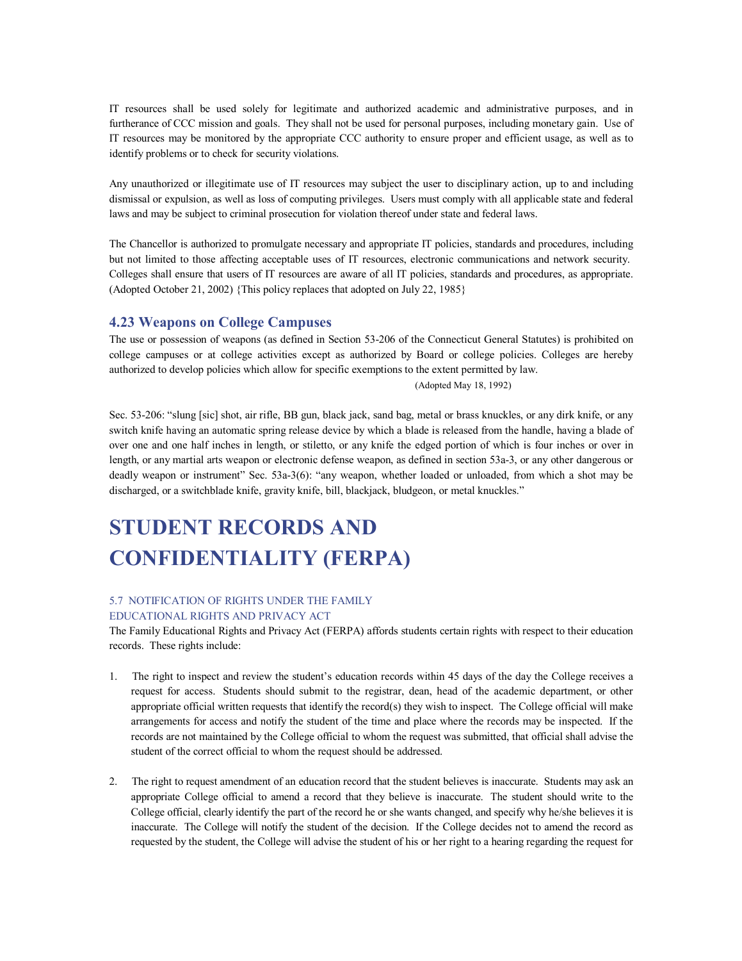IT resources shall be used solely for legitimate and authorized academic and administrative purposes, and in furtherance of CCC mission and goals. They shall not be used for personal purposes, including monetary gain. Use of IT resources may be monitored by the appropriate CCC authority to ensure proper and efficient usage, as well as to identify problems or to check for security violations.

Any unauthorized or illegitimate use of IT resources may subject the user to disciplinary action, up to and including dismissal or expulsion, as well as loss of computing privileges. Users must comply with all applicable state and federal laws and may be subject to criminal prosecution for violation thereof under state and federal laws.

The Chancellor is authorized to promulgate necessary and appropriate IT policies, standards and procedures, including but not limited to those affecting acceptable uses of IT resources, electronic communications and network security. Colleges shall ensure that users of IT resources are aware of all IT policies, standards and procedures, as appropriate. (Adopted October 21, 2002) {This policy replaces that adopted on July 22, 1985}

### **4.23 Weapons on College Campuses**

The use or possession of weapons (as defined in Section 53206 of the Connecticut General Statutes) is prohibited on college campuses or at college activities except as authorized by Board or college policies. Colleges are hereby authorized to develop policies which allow for specific exemptions to the extent permitted by law.

(Adopted May 18, 1992)

Sec. 53-206: "slung [sic] shot, air rifle, BB gun, black jack, sand bag, metal or brass knuckles, or any dirk knife, or any switch knife having an automatic spring release device by which a blade is released from the handle, having a blade of over one and one half inches in length, or stiletto, or any knife the edged portion of which is four inches or over in length, or any martial arts weapon or electronic defense weapon, as defined in section 53a-3, or any other dangerous or deadly weapon or instrument" Sec. 53a-3(6): "any weapon, whether loaded or unloaded, from which a shot may be discharged, or a switchblade knife, gravity knife, bill, blackjack, bludgeon, or metal knuckles."

# **STUDENT RECORDS AND CONFIDENTIALITY (FERPA)**

#### 5.7 NOTIFICATION OF RIGHTS UNDER THE FAMILY EDUCATIONAL RIGHTS AND PRIVACY ACT

The Family Educational Rights and Privacy Act (FERPA) affords students certain rights with respect to their education records. These rights include:

- 1. The right to inspect and review the student's education records within 45 days of the day the College receives a request for access. Students should submit to the registrar, dean, head of the academic department, or other appropriate official written requests that identify the record(s) they wish to inspect. The College official will make arrangements for access and notify the student of the time and place where the records may be inspected. If the records are not maintained by the College official to whom the request was submitted, that official shall advise the student of the correct official to whom the request should be addressed.
- 2. The right to request amendment of an education record that the student believes is inaccurate. Students may ask an appropriate College official to amend a record that they believe is inaccurate. The student should write to the College official, clearly identify the part of the record he or she wants changed, and specify why he/she believes it is inaccurate. The College will notify the student of the decision. If the College decides not to amend the record as requested by the student, the College will advise the student of his or her right to a hearing regarding the request for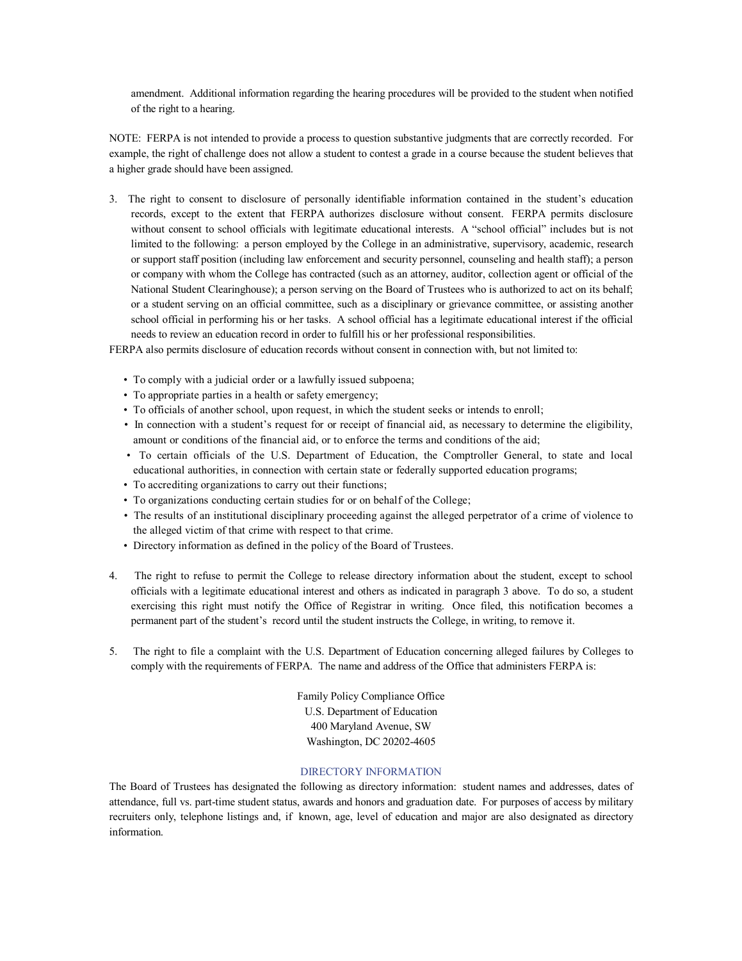amendment. Additional information regarding the hearing procedures will be provided to the student when notified of the right to a hearing.

NOTE: FERPA is not intended to provide a process to question substantive judgments that are correctly recorded. For example, the right of challenge does not allow a student to contest a grade in a course because the student believes that a higher grade should have been assigned.

3. The right to consent to disclosure of personally identifiable information contained in the student's education records, except to the extent that FERPA authorizes disclosure without consent. FERPA permits disclosure without consent to school officials with legitimate educational interests. A "school official" includes but is not limited to the following: a person employed by the College in an administrative, supervisory, academic, research or support staff position (including law enforcement and security personnel, counseling and health staff); a person or company with whom the College has contracted (such as an attorney, auditor, collection agent or official of the National Student Clearinghouse); a person serving on the Board of Trustees who is authorized to act on its behalf; or a student serving on an official committee, such as a disciplinary or grievance committee, or assisting another school official in performing his or her tasks. A school official has a legitimate educational interest if the official needs to review an education record in order to fulfill his or her professional responsibilities.

FERPA also permits disclosure of education records without consent in connection with, but not limited to:

- To comply with a judicial order or a lawfully issued subpoena;
- To appropriate parties in a health or safety emergency;
- To officials of another school, upon request, in which the student seeks or intends to enroll;
- In connection with a student's request for or receipt of financial aid, as necessary to determine the eligibility, amount or conditions of the financial aid, or to enforce the terms and conditions of the aid;
- To certain officials of the U.S. Department of Education, the Comptroller General, to state and local educational authorities, in connection with certain state or federally supported education programs;
- To accrediting organizations to carry out their functions;
- To organizations conducting certain studies for or on behalf of the College;
- The results of an institutional disciplinary proceeding against the alleged perpetrator of a crime of violence to the alleged victim of that crime with respect to that crime.
- Directory information as defined in the policy of the Board of Trustees.
- 4. The right to refuse to permit the College to release directory information about the student, except to school officials with a legitimate educational interest and others as indicated in paragraph 3 above. To do so, a student exercising this right must notify the Office of Registrar in writing. Once filed, this notification becomes a permanent part of the student's record until the student instructs the College, in writing, to remove it.
- 5. The right to file a complaint with the U.S. Department of Education concerning alleged failures by Colleges to comply with the requirements of FERPA. The name and address of the Office that administers FERPA is:

Family Policy Compliance Office U.S. Department of Education 400 Maryland Avenue, SW Washington, DC 20202-4605

#### DIRECTORY INFORMATION

The Board of Trustees has designated the following as directory information: student names and addresses, dates of attendance, full vs. part-time student status, awards and honors and graduation date. For purposes of access by military recruiters only, telephone listings and, if known, age, level of education and major are also designated as directory information.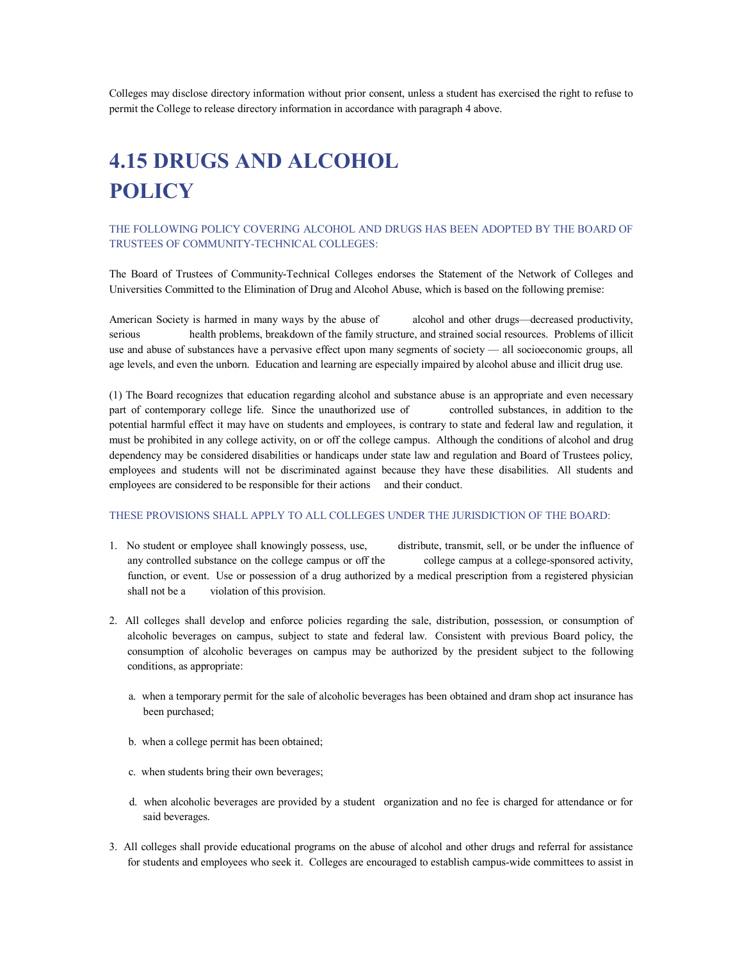Colleges may disclose directory information without prior consent, unless a student has exercised the right to refuse to permit the College to release directory information in accordance with paragraph 4 above.

# **4.15 DRUGS AND ALCOHOL POLICY**

#### THE FOLLOWING POLICY COVERING ALCOHOL AND DRUGS HAS BEEN ADOPTED BY THE BOARD OF TRUSTEES OF COMMUNITY-TECHNICAL COLLEGES:

The Board of Trustees of Community-Technical Colleges endorses the Statement of the Network of Colleges and Universities Committed to the Elimination of Drug and Alcohol Abuse, which is based on the following premise:

American Society is harmed in many ways by the abuse of alcohol and other drugs—decreased productivity, serious health problems, breakdown of the family structure, and strained social resources. Problems of illicit use and abuse of substances have a pervasive effect upon many segments of society — all socioeconomic groups, all age levels, and even the unborn. Education and learning are especially impaired by alcohol abuse and illicit drug use.

(1) The Board recognizes that education regarding alcohol and substance abuse is an appropriate and even necessary part of contemporary college life. Since the unauthorized use of controlled substances, in addition to the potential harmful effect it may have on students and employees, is contrary to state and federal law and regulation, it must be prohibited in any college activity, on or off the college campus. Although the conditions of alcohol and drug dependency may be considered disabilities or handicaps under state law and regulation and Board of Trustees policy, employees and students will not be discriminated against because they have these disabilities. All students and employees are considered to be responsible for their actions and their conduct.

#### THESE PROVISIONS SHALL APPLY TO ALL COLLEGES UNDER THE JURISDICTION OF THE BOARD:

- 1. No student or employee shall knowingly possess, use, distribute, transmit, sell, or be under the influence of any controlled substance on the college campus or off the college campus at a college-sponsored activity, function, or event. Use or possession of a drug authorized by a medical prescription from a registered physician shall not be a violation of this provision.
- 2. All colleges shall develop and enforce policies regarding the sale, distribution, possession, or consumption of alcoholic beverages on campus, subject to state and federal law. Consistent with previous Board policy, the consumption of alcoholic beverages on campus may be authorized by the president subject to the following conditions, as appropriate:
	- a. when a temporary permit for the sale of alcoholic beverages has been obtained and dram shop act insurance has been purchased;
	- b. when a college permit has been obtained;
	- c. when students bring their own beverages;
	- d. when alcoholic beverages are provided by a student organization and no fee is charged for attendance or for said beverages.
- 3. All colleges shall provide educational programs on the abuse of alcohol and other drugs and referral for assistance for students and employees who seek it. Colleges are encouraged to establish campus-wide committees to assist in